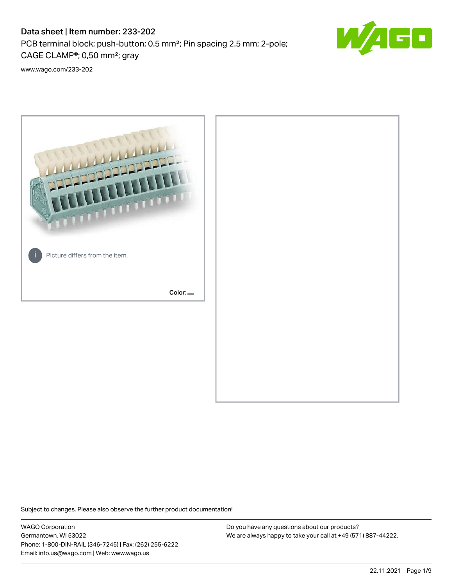# Data sheet | Item number: 233-202

PCB terminal block; push-button; 0.5 mm²; Pin spacing 2.5 mm; 2-pole; CAGE CLAMP®; 0,50 mm²; gray



[www.wago.com/233-202](http://www.wago.com/233-202)



Subject to changes. Please also observe the further product documentation!

WAGO Corporation Germantown, WI 53022 Phone: 1-800-DIN-RAIL (346-7245) | Fax: (262) 255-6222 Email: info.us@wago.com | Web: www.wago.us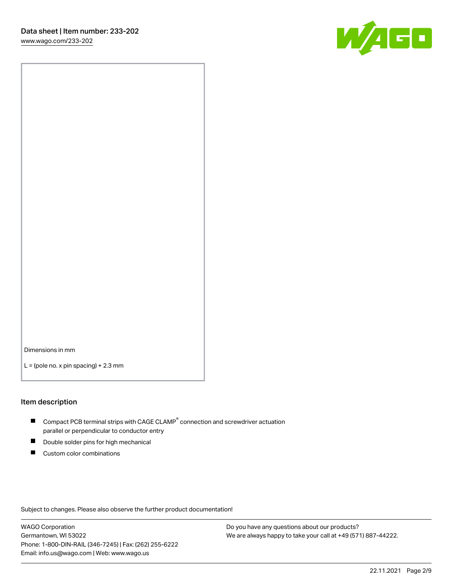

Dimensions in mm

 $L =$  (pole no. x pin spacing) + 2.3 mm

#### Item description

- $\blacksquare$  Compact PCB terminal strips with CAGE CLAMP<sup>®</sup> connection and screwdriver actuation parallel or perpendicular to conductor entry
- П Double solder pins for high mechanical
- $\blacksquare$ Custom color combinations

Subject to changes. Please also observe the further product documentation!

WAGO Corporation Germantown, WI 53022 Phone: 1-800-DIN-RAIL (346-7245) | Fax: (262) 255-6222 Email: info.us@wago.com | Web: www.wago.us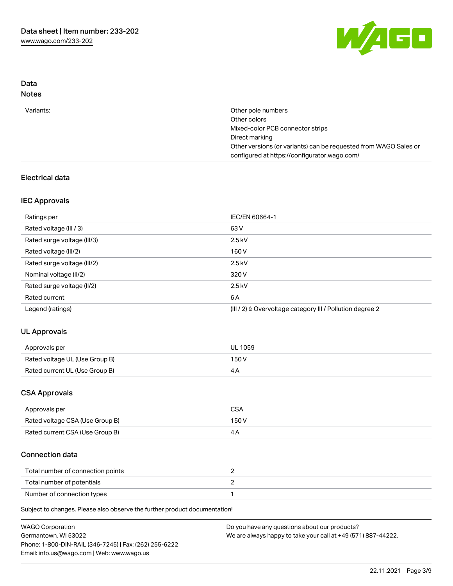

## Data Notes

| Variants: | Other pole numbers                                               |
|-----------|------------------------------------------------------------------|
|           | Other colors                                                     |
|           | Mixed-color PCB connector strips                                 |
|           | Direct marking                                                   |
|           | Other versions (or variants) can be requested from WAGO Sales or |
|           | configured at https://configurator.wago.com/                     |

# Electrical data

## IEC Approvals

| Ratings per                 | IEC/EN 60664-1                                                        |
|-----------------------------|-----------------------------------------------------------------------|
| Rated voltage (III / 3)     | 63 V                                                                  |
| Rated surge voltage (III/3) | $2.5$ kV                                                              |
| Rated voltage (III/2)       | 160 V                                                                 |
| Rated surge voltage (III/2) | $2.5$ kV                                                              |
| Nominal voltage (II/2)      | 320 V                                                                 |
| Rated surge voltage (II/2)  | $2.5$ kV                                                              |
| Rated current               | 6 A                                                                   |
| Legend (ratings)            | $(III / 2)$ $\triangle$ Overvoltage category III / Pollution degree 2 |

# UL Approvals

| Approvals per                  | UL 1059 |
|--------------------------------|---------|
| Rated voltage UL (Use Group B) | 150 V   |
| Rated current UL (Use Group B) |         |

## CSA Approvals

| Approvals per                   | CSA   |
|---------------------------------|-------|
| Rated voltage CSA (Use Group B) | 150 V |
| Rated current CSA (Use Group B) |       |

## Connection data

| Total number of connection points |  |
|-----------------------------------|--|
| Total number of potentials        |  |
| Number of connection types        |  |

Subject to changes. Please also observe the further product documentation!

| <b>WAGO Corporation</b>                                | Do you have any questions about our products?                 |
|--------------------------------------------------------|---------------------------------------------------------------|
| Germantown, WI 53022                                   | We are always happy to take your call at +49 (571) 887-44222. |
| Phone: 1-800-DIN-RAIL (346-7245)   Fax: (262) 255-6222 |                                                               |
| Email: info.us@wago.com   Web: www.wago.us             |                                                               |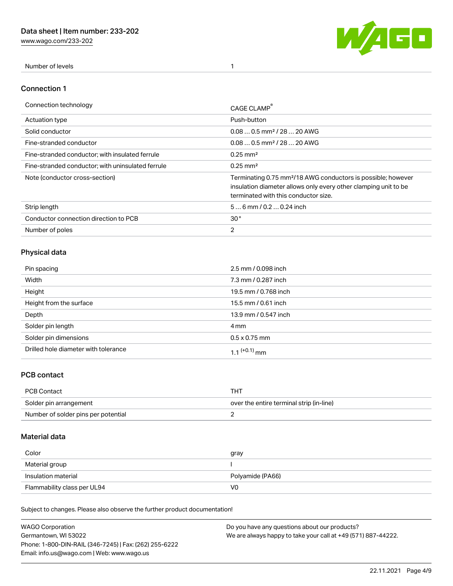[www.wago.com/233-202](http://www.wago.com/233-202)



Number of levels 1

#### Connection 1

| Connection technology                             | CAGE CLAMP                                                                                                                                                                          |
|---------------------------------------------------|-------------------------------------------------------------------------------------------------------------------------------------------------------------------------------------|
| Actuation type                                    | Push-button                                                                                                                                                                         |
| Solid conductor                                   | $0.080.5$ mm <sup>2</sup> / 28  20 AWG                                                                                                                                              |
| Fine-stranded conductor                           | $0.080.5$ mm <sup>2</sup> / 28  20 AWG                                                                                                                                              |
| Fine-stranded conductor; with insulated ferrule   | $0.25 \text{ mm}^2$                                                                                                                                                                 |
| Fine-stranded conductor: with uninsulated ferrule | $0.25 \text{ mm}^2$                                                                                                                                                                 |
| Note (conductor cross-section)                    | Terminating 0.75 mm <sup>2</sup> /18 AWG conductors is possible; however<br>insulation diameter allows only every other clamping unit to be<br>terminated with this conductor size. |
| Strip length                                      | $56$ mm $/ 0.20.24$ inch                                                                                                                                                            |
| Conductor connection direction to PCB             | 30 <sup>°</sup>                                                                                                                                                                     |
| Number of poles                                   | $\overline{2}$                                                                                                                                                                      |

# Physical data

| Pin spacing                          | 2.5 mm / 0.098 inch      |
|--------------------------------------|--------------------------|
| Width                                | 7.3 mm / 0.287 inch      |
| Height                               | 19.5 mm / 0.768 inch     |
| Height from the surface              | 15.5 mm / 0.61 inch      |
| Depth                                | 13.9 mm / 0.547 inch     |
| Solder pin length                    | 4 mm                     |
| Solder pin dimensions                | $0.5 \times 0.75$ mm     |
| Drilled hole diameter with tolerance | 1.1 <sup>(+0.1)</sup> mm |

## PCB contact

| PCB Contact                         | THT                                      |
|-------------------------------------|------------------------------------------|
| Solder pin arrangement              | over the entire terminal strip (in-line) |
| Number of solder pins per potential |                                          |

## Material data

| Color               | gray             |
|---------------------|------------------|
| Material group      |                  |
| Insulation material | Polyamide (PA66) |
|                     |                  |

Subject to changes. Please also observe the further product documentation!

| <b>WAGO Corporation</b>                                | Do you have any questions about our products?                 |
|--------------------------------------------------------|---------------------------------------------------------------|
| Germantown, WI 53022                                   | We are always happy to take your call at +49 (571) 887-44222. |
| Phone: 1-800-DIN-RAIL (346-7245)   Fax: (262) 255-6222 |                                                               |
| Email: info.us@wago.com   Web: www.wago.us             |                                                               |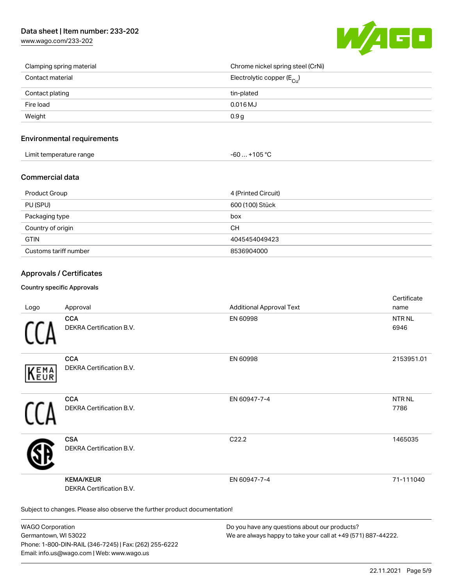# Data sheet | Item number: 233-202

[www.wago.com/233-202](http://www.wago.com/233-202)



| Clamping spring material | Chrome nickel spring steel (CrNi)       |
|--------------------------|-----------------------------------------|
| Contact material         | Electrolytic copper ( $E_{\text{Cu}}$ ) |
| Contact plating          | tin-plated                              |
| Fire load                | $0.016$ MJ                              |
| Weight                   | 0.9 <sub>g</sub>                        |

#### Environmental requirements

| Limit temperature range | $-60+105 °C$ |
|-------------------------|--------------|
|-------------------------|--------------|

#### Commercial data

| Product Group         | 4 (Printed Circuit) |
|-----------------------|---------------------|
| PU (SPU)              | 600 (100) Stück     |
| Packaging type        | box                 |
| Country of origin     | CН                  |
| <b>GTIN</b>           | 4045454049423       |
| Customs tariff number | 8536904000          |

### Approvals / Certificates

#### Country specific Approvals

| Logo       | Approval                                                                   | <b>Additional Approval Text</b> | Certificate<br>name       |
|------------|----------------------------------------------------------------------------|---------------------------------|---------------------------|
|            | <b>CCA</b><br>DEKRA Certification B.V.                                     | EN 60998                        | <b>NTR NL</b><br>6946     |
| EMA<br>EUR | <b>CCA</b><br>DEKRA Certification B.V.                                     | EN 60998                        | 2153951.01                |
|            | <b>CCA</b><br>DEKRA Certification B.V.                                     | EN 60947-7-4                    | NTR <sub>NL</sub><br>7786 |
|            | <b>CSA</b><br>DEKRA Certification B.V.                                     | C22.2                           | 1465035                   |
|            | <b>KEMA/KEUR</b><br>DEKRA Certification B.V.                               | EN 60947-7-4                    | 71-111040                 |
|            | Subject to changes. Please also observe the further product documentation! |                                 |                           |

WAGO Corporation Germantown, WI 53022 Phone: 1-800-DIN-RAIL (346-7245) | Fax: (262) 255-6222 Email: info.us@wago.com | Web: www.wago.us

Do you have any questions about our products? We are always happy to take your call at +49 (571) 887-44222.

certificate in the contraction of the contraction of the contraction of the contraction of the contraction of the contraction of the contraction of the contraction of the contraction of the contraction of the contraction o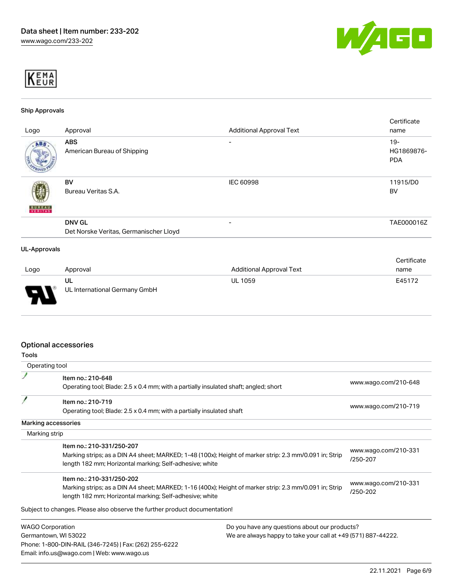



#### Ship Approvals

|               |                                        |                                 | Certificate |
|---------------|----------------------------------------|---------------------------------|-------------|
| Logo          | Approval                               | <b>Additional Approval Text</b> | name        |
| ABS.          | <b>ABS</b>                             |                                 | $19 -$      |
|               | American Bureau of Shipping            |                                 | HG1869876-  |
|               |                                        |                                 | <b>PDA</b>  |
|               |                                        |                                 |             |
|               | <b>BV</b>                              | <b>IEC 60998</b>                | 11915/D0    |
|               | Bureau Veritas S.A.                    |                                 | <b>BV</b>   |
|               |                                        |                                 |             |
| <b>BUREAU</b> |                                        |                                 |             |
|               | <b>DNV GL</b>                          | $\overline{\phantom{a}}$        | TAE000016Z  |
|               |                                        |                                 |             |
|               | Det Norske Veritas, Germanischer Lloyd |                                 |             |
|               |                                        |                                 |             |
| UL-Approvals  |                                        |                                 |             |
|               |                                        |                                 | Certificate |

|      |                                     |                          | ---------- |
|------|-------------------------------------|--------------------------|------------|
| Logo | Approval                            | Additional Approval Text | name       |
| o    | UL<br>UL International Germany GmbH | <b>UL 1059</b>           | E45172     |

### Optional accessories

| Tools                |                                                                                                        |                                                               |                                  |  |
|----------------------|--------------------------------------------------------------------------------------------------------|---------------------------------------------------------------|----------------------------------|--|
|                      | Operating tool                                                                                         |                                                               |                                  |  |
|                      | Item no.: 210-648                                                                                      |                                                               |                                  |  |
|                      | Operating tool; Blade: 2.5 x 0.4 mm; with a partially insulated shaft; angled; short                   |                                                               | www.wago.com/210-648             |  |
|                      | Item no.: 210-719                                                                                      |                                                               |                                  |  |
|                      | Operating tool; Blade: 2.5 x 0.4 mm; with a partially insulated shaft                                  |                                                               | www.wago.com/210-719             |  |
|                      | Marking accessories                                                                                    |                                                               |                                  |  |
|                      | Marking strip                                                                                          |                                                               |                                  |  |
|                      | Item no.: 210-331/250-207                                                                              |                                                               |                                  |  |
|                      | Marking strips; as a DIN A4 sheet; MARKED; 1-48 (100x); Height of marker strip: 2.3 mm/0.091 in; Strip |                                                               | www.wago.com/210-331<br>/250-207 |  |
|                      | length 182 mm; Horizontal marking; Self-adhesive; white                                                |                                                               |                                  |  |
|                      | Item no.: 210-331/250-202                                                                              |                                                               |                                  |  |
|                      | Marking strips; as a DIN A4 sheet; MARKED; 1-16 (400x); Height of marker strip: 2.3 mm/0.091 in; Strip |                                                               | www.wago.com/210-331             |  |
|                      | length 182 mm; Horizontal marking; Self-adhesive; white                                                |                                                               | /250-202                         |  |
|                      | Subject to changes. Please also observe the further product documentation!                             |                                                               |                                  |  |
|                      | <b>WAGO Corporation</b>                                                                                | Do you have any questions about our products?                 |                                  |  |
| Germantown, WI 53022 |                                                                                                        | We are always happy to take your call at +49 (571) 887-44222. |                                  |  |
|                      | Phone: 1-800-DIN-RAIL (346-7245)   Fax: (262) 255-6222                                                 |                                                               |                                  |  |
|                      | Email: info.us@wago.com   Web: www.wago.us                                                             |                                                               |                                  |  |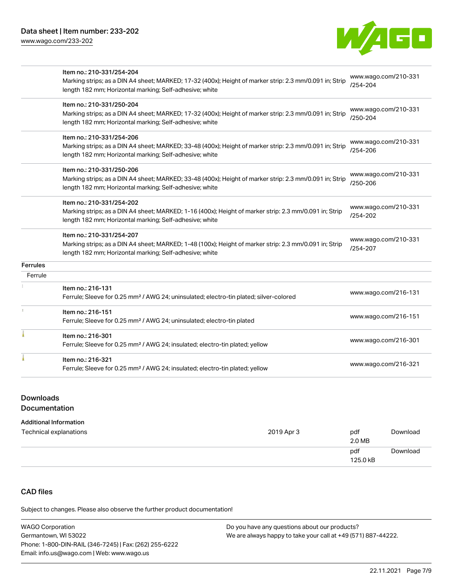[www.wago.com/233-202](http://www.wago.com/233-202)



|                 | Item no.: 210-331/254-204                                                                               |                                  |
|-----------------|---------------------------------------------------------------------------------------------------------|----------------------------------|
|                 | Marking strips; as a DIN A4 sheet; MARKED; 17-32 (400x); Height of marker strip: 2.3 mm/0.091 in; Strip | www.wago.com/210-331<br>/254-204 |
|                 | length 182 mm; Horizontal marking; Self-adhesive; white                                                 |                                  |
|                 | Item no.: 210-331/250-204                                                                               |                                  |
|                 | Marking strips; as a DIN A4 sheet; MARKED; 17-32 (400x); Height of marker strip: 2.3 mm/0.091 in; Strip | www.wago.com/210-331<br>/250-204 |
|                 | length 182 mm; Horizontal marking; Self-adhesive; white                                                 |                                  |
|                 | Item no.: 210-331/254-206                                                                               |                                  |
|                 | Marking strips; as a DIN A4 sheet; MARKED; 33-48 (400x); Height of marker strip: 2.3 mm/0.091 in; Strip | www.wago.com/210-331             |
|                 | length 182 mm; Horizontal marking; Self-adhesive; white                                                 | /254-206                         |
|                 | Item no.: 210-331/250-206                                                                               |                                  |
|                 | Marking strips; as a DIN A4 sheet; MARKED; 33-48 (400x); Height of marker strip: 2.3 mm/0.091 in; Strip | www.wago.com/210-331             |
|                 | length 182 mm; Horizontal marking; Self-adhesive; white                                                 | /250-206                         |
|                 | Item no.: 210-331/254-202                                                                               |                                  |
|                 | Marking strips; as a DIN A4 sheet; MARKED; 1-16 (400x); Height of marker strip: 2.3 mm/0.091 in; Strip  | www.wago.com/210-331             |
|                 | length 182 mm; Horizontal marking; Self-adhesive; white                                                 | $/254 - 202$                     |
|                 | Item no.: 210-331/254-207                                                                               |                                  |
|                 | Marking strips; as a DIN A4 sheet; MARKED; 1-48 (100x); Height of marker strip: 2.3 mm/0.091 in; Strip  | www.wago.com/210-331<br>/254-207 |
|                 | length 182 mm; Horizontal marking; Self-adhesive; white                                                 |                                  |
| <b>Ferrules</b> |                                                                                                         |                                  |
| Ferrule         |                                                                                                         |                                  |
|                 | Item no.: 216-131                                                                                       | www.wago.com/216-131             |
|                 | Ferrule; Sleeve for 0.25 mm <sup>2</sup> / AWG 24; uninsulated; electro-tin plated; silver-colored      |                                  |
|                 | Item no.: 216-151                                                                                       | www.wago.com/216-151             |
|                 | Ferrule; Sleeve for 0.25 mm <sup>2</sup> / AWG 24; uninsulated; electro-tin plated                      |                                  |
|                 | Item no.: 216-301                                                                                       |                                  |
|                 | Ferrule; Sleeve for 0.25 mm <sup>2</sup> / AWG 24; insulated; electro-tin plated; yellow                | www.wago.com/216-301             |
|                 | Item no.: 216-321                                                                                       |                                  |
|                 | Ferrule; Sleeve for 0.25 mm <sup>2</sup> / AWG 24; insulated; electro-tin plated; yellow                | www.wago.com/216-321             |
|                 |                                                                                                         |                                  |

## Downloads

## Documentation

#### Additional Information

| Technical explanations | 2019 Apr 3 | pdf<br>2.0 MB   | Download |
|------------------------|------------|-----------------|----------|
|                        |            | pdf<br>125.0 kB | Download |

# CAD files

Subject to changes. Please also observe the further product documentation!

| <b>WAGO Corporation</b>                                | Do you have any questions about our products?                 |
|--------------------------------------------------------|---------------------------------------------------------------|
| Germantown, WI 53022                                   | We are always happy to take your call at +49 (571) 887-44222. |
| Phone: 1-800-DIN-RAIL (346-7245)   Fax: (262) 255-6222 |                                                               |
| Email: info.us@wago.com   Web: www.wago.us             |                                                               |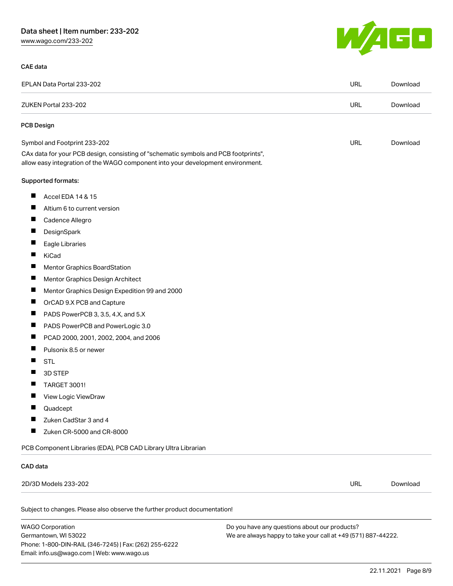# Data sheet | Item number: 233-202

[www.wago.com/233-202](http://www.wago.com/233-202)

#### CAE data



| EPLAN Data Portal 233-202                                                                                                                                              | <b>URL</b> | Download |
|------------------------------------------------------------------------------------------------------------------------------------------------------------------------|------------|----------|
| ZUKEN Portal 233-202                                                                                                                                                   | <b>URL</b> | Download |
| <b>PCB Design</b>                                                                                                                                                      |            |          |
| Symbol and Footprint 233-202                                                                                                                                           | <b>URL</b> | Download |
| CAx data for your PCB design, consisting of "schematic symbols and PCB footprints",<br>allow easy integration of the WAGO component into your development environment. |            |          |
| Supported formats:                                                                                                                                                     |            |          |
| ш<br>Accel EDA 14 & 15                                                                                                                                                 |            |          |
| ш<br>Altium 6 to current version                                                                                                                                       |            |          |
| ш<br>Cadence Allegro                                                                                                                                                   |            |          |
| Ш<br>DesignSpark                                                                                                                                                       |            |          |
| ш<br>Eagle Libraries                                                                                                                                                   |            |          |
| ш<br>KiCad                                                                                                                                                             |            |          |
| ш<br><b>Mentor Graphics BoardStation</b>                                                                                                                               |            |          |
| ш<br>Mentor Graphics Design Architect                                                                                                                                  |            |          |
| ш<br>Mentor Graphics Design Expedition 99 and 2000                                                                                                                     |            |          |
| ш<br>OrCAD 9.X PCB and Capture                                                                                                                                         |            |          |
| PADS PowerPCB 3, 3.5, 4.X, and 5.X<br>ш                                                                                                                                |            |          |
| ш<br>PADS PowerPCB and PowerLogic 3.0                                                                                                                                  |            |          |
| Ш<br>PCAD 2000, 2001, 2002, 2004, and 2006                                                                                                                             |            |          |
| L<br>Pulsonix 8.5 or newer                                                                                                                                             |            |          |
| ш<br><b>STL</b>                                                                                                                                                        |            |          |
| 3D STEP<br>۰                                                                                                                                                           |            |          |
| <b>TARGET 3001!</b><br>L                                                                                                                                               |            |          |
| ш<br>View Logic ViewDraw                                                                                                                                               |            |          |
| Quadcept                                                                                                                                                               |            |          |
| Zuken CadStar 3 and 4                                                                                                                                                  |            |          |
| Ш<br>Zuken CR-5000 and CR-8000                                                                                                                                         |            |          |
| PCB Component Libraries (EDA), PCB CAD Library Ultra Librarian                                                                                                         |            |          |
| CAD data                                                                                                                                                               |            |          |
| 2D/3D Models 233-202                                                                                                                                                   | <b>URL</b> | Download |
| Subject to changes. Please also observe the further product documentation!                                                                                             |            |          |

WAGO Corporation Germantown, WI 53022 Phone: 1-800-DIN-RAIL (346-7245) | Fax: (262) 255-6222 Email: info.us@wago.com | Web: www.wago.us